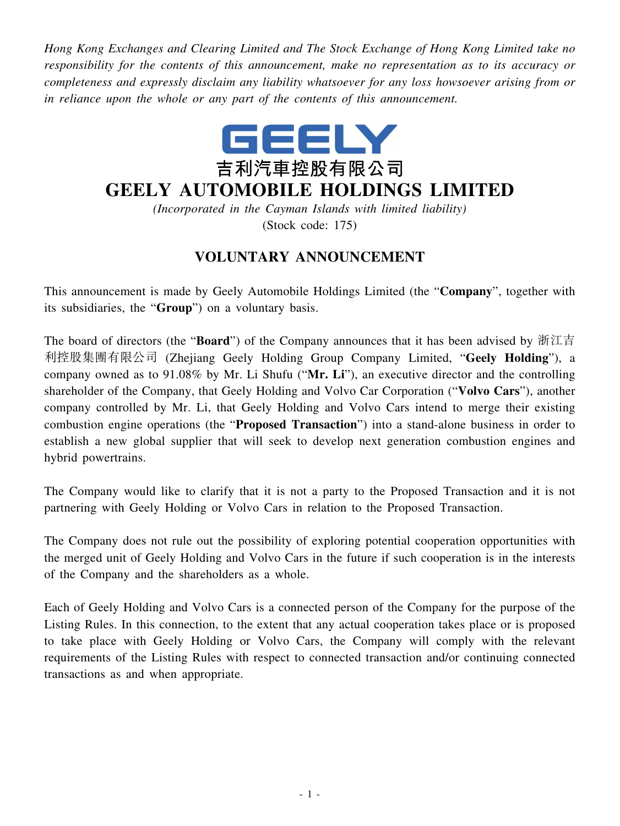*Hong Kong Exchanges and Clearing Limited and The Stock Exchange of Hong Kong Limited take no responsibility for the contents of this announcement, make no representation as to its accuracy or completeness and expressly disclaim any liability whatsoever for any loss howsoever arising from or in reliance upon the whole or any part of the contents of this announcement.*



## **GEELY AUTOMOBILE HOLDINGS LIMITED**

*(Incorporated in the Cayman Islands with limited liability)* (Stock code: 175)

## **VOLUNTARY ANNOUNCEMENT**

This announcement is made by Geely Automobile Holdings Limited (the "**Company**", together with its subsidiaries, the "**Group**") on a voluntary basis.

The board of directors (the "**Board**") of the Company announces that it has been advised by 浙江吉 利控股集團有限公司 (Zhejiang Geely Holding Group Company Limited, "**Geely Holding**"), a company owned as to 91.08% by Mr. Li Shufu ("**Mr. Li**"), an executive director and the controlling shareholder of the Company, that Geely Holding and Volvo Car Corporation ("**Volvo Cars**"), another company controlled by Mr. Li, that Geely Holding and Volvo Cars intend to merge their existing combustion engine operations (the "**Proposed Transaction**") into a stand-alone business in order to establish a new global supplier that will seek to develop next generation combustion engines and hybrid powertrains.

The Company would like to clarify that it is not a party to the Proposed Transaction and it is not partnering with Geely Holding or Volvo Cars in relation to the Proposed Transaction.

The Company does not rule out the possibility of exploring potential cooperation opportunities with the merged unit of Geely Holding and Volvo Cars in the future if such cooperation is in the interests of the Company and the shareholders as a whole.

Each of Geely Holding and Volvo Cars is a connected person of the Company for the purpose of the Listing Rules. In this connection, to the extent that any actual cooperation takes place or is proposed to take place with Geely Holding or Volvo Cars, the Company will comply with the relevant requirements of the Listing Rules with respect to connected transaction and/or continuing connected transactions as and when appropriate.